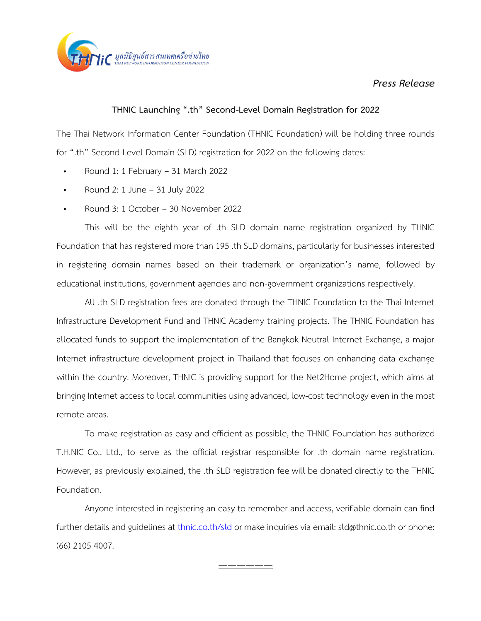

## *Press Release*

## **THNIC Launching ".th" Second-Level Domain Registration for 2022**

The Thai Network Information Center Foundation (THNIC Foundation) will be holding three rounds for ".th" Second-Level Domain (SLD) registration for 2022 on the following dates:

- Round 1: 1 February 31 March 2022
- Round 2: 1 June 31 July 2022
- Round 3: 1 October 30 November 2022

This will be the eighth year of .th SLD domain name registration organized by THNIC Foundation that has registered more than 195 .th SLD domains, particularly for businesses interested in registering domain names based on their trademark or organization's name, followed by educational institutions, government agencies and non-government organizations respectively.

All .th SLD registration fees are donated through the THNIC Foundation to the Thai Internet Infrastructure Development Fund and THNIC Academy training projects. The THNIC Foundation has allocated funds to support the implementation of the Bangkok Neutral Internet Exchange, a major Internet infrastructure development project in Thailand that focuses on enhancing data exchange within the country. Moreover, THNIC is providing support for the Net2Home project, which aims at bringing Internet access to local communities using advanced, low-cost technology even in the most remote areas.

To make registration as easy and efficient as possible, the THNIC Foundation has authorized T.H.NIC Co., Ltd., to serve as the official registrar responsible for .th domain name registration. However, as previously explained, the .th SLD registration fee will be donated directly to the THNIC Foundation.

Anyone interested in registering an easy to remember and access, verifiable domain can find further details and guidelines at *[thnic.co.th/sld](https://www.thnic.co.th/th/sld/)* or make inquiries via email: sld@thnic.co.th or phone: (66) 2105 4007.

——————